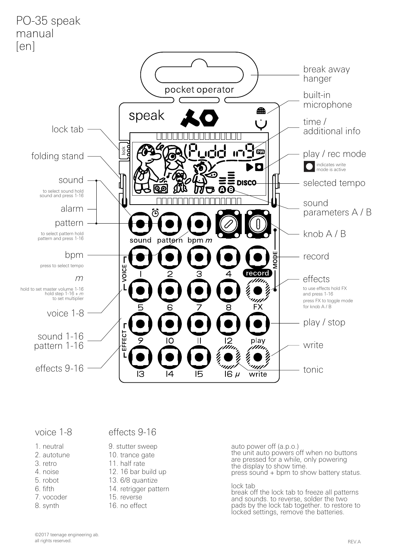

- 1. neutral
- 2. autotune
- 3. retro
- 4. noise
- 5. robot
- 6. fifth
- 7. vocoder
- 8. synth

## voice 1-8 effects 9-16

- 9. stutter sweep
- 10. trance gate
- 11. half rate
- 12. 16 bar build up
- 13. 6/8 quantize
- 14. retrigger pattern
- 15. reverse
- 16 no effect

auto power off (a.p.o.) the unit auto powers off when no buttons are pressed for a while, only powering the display to show time. press sound + bpm to show battery status.

#### lock tab

break off the lock tab to freeze all patterns and sounds. to reverse, solder the two pads by the lock tab together. to restore to locked settings, remove the batteries.